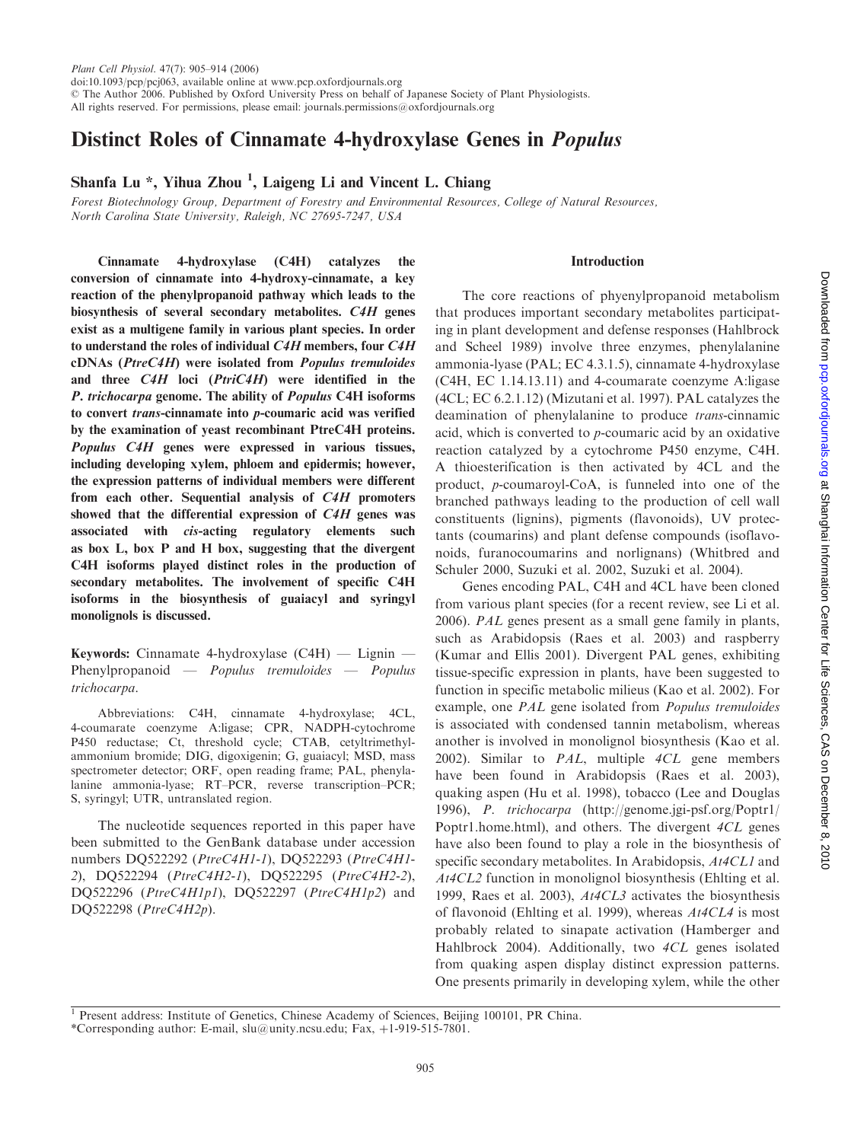# Distinct Roles of Cinnamate 4-hydroxylase Genes in Populus

## Shanfa Lu \*, Yihua Zhou <sup>1</sup>, Laigeng Li and Vincent L. Chiang

Forest Biotechnology Group, Department of Forestry and Environmental Resources, College of Natural Resources, North Carolina State University, Raleigh, NC 27695-7247, USA

Cinnamate 4-hydroxylase (C4H) catalyzes the conversion of cinnamate into 4-hydroxy-cinnamate, a key reaction of the phenylpropanoid pathway which leads to the biosynthesis of several secondary metabolites. C4H genes exist as a multigene family in various plant species. In order to understand the roles of individual C4H members, four C4H cDNAs (PtreC4H) were isolated from Populus tremuloides and three C4H loci (PtriC4H) were identified in the P. trichocarpa genome. The ability of Populus C4H isoforms to convert trans-cinnamate into p-coumaric acid was verified by the examination of yeast recombinant PtreC4H proteins. Populus C4H genes were expressed in various tissues, including developing xylem, phloem and epidermis; however, the expression patterns of individual members were different from each other. Sequential analysis of C4H promoters showed that the differential expression of C4H genes was associated with cis-acting regulatory elements such as box L, box P and H box, suggesting that the divergent C4H isoforms played distinct roles in the production of secondary metabolites. The involvement of specific C4H isoforms in the biosynthesis of guaiacyl and syringyl monolignols is discussed.

Keywords: Cinnamate 4-hydroxylase (C4H) — Lignin — Phenylpropanoid — Populus tremuloides — Populus trichocarpa.

Abbreviations: C4H, cinnamate 4-hydroxylase; 4CL, 4-coumarate coenzyme A:ligase; CPR, NADPH-cytochrome P450 reductase; Ct, threshold cycle; CTAB, cetyltrimethylammonium bromide; DIG, digoxigenin; G, guaiacyl; MSD, mass spectrometer detector; ORF, open reading frame; PAL, phenylalanine ammonia-lyase; RT–PCR, reverse transcription–PCR; S, syringyl; UTR, untranslated region.

The nucleotide sequences reported in this paper have been submitted to the GenBank database under accession numbers DQ522292 (PtreC4H1-1), DQ522293 (PtreC4H1- 2), DQ522294 (PtreC4H2-1), DQ522295 (PtreC4H2-2), DQ522296 (PtreC4H1p1), DQ522297 (PtreC4H1p2) and DQ522298 (PtreC4H2p).

## Introduction

The core reactions of phyenylpropanoid metabolism that produces important secondary metabolites participating in plant development and defense responses (Hahlbrock and Scheel 1989) involve three enzymes, phenylalanine ammonia-lyase (PAL; EC 4.3.1.5), cinnamate 4-hydroxylase (C4H, EC 1.14.13.11) and 4-coumarate coenzyme A:ligase (4CL; EC 6.2.1.12) (Mizutani et al. 1997). PAL catalyzes the deamination of phenylalanine to produce trans-cinnamic acid, which is converted to p-coumaric acid by an oxidative reaction catalyzed by a cytochrome P450 enzyme, C4H. A thioesterification is then activated by 4CL and the product, p-coumaroyl-CoA, is funneled into one of the branched pathways leading to the production of cell wall constituents (lignins), pigments (flavonoids), UV protectants (coumarins) and plant defense compounds (isoflavonoids, furanocoumarins and norlignans) (Whitbred and Schuler 2000, Suzuki et al. 2002, Suzuki et al. 2004).

Genes encoding PAL, C4H and 4CL have been cloned from various plant species (for a recent review, see Li et al. 2006). PAL genes present as a small gene family in plants, such as Arabidopsis (Raes et al. 2003) and raspberry (Kumar and Ellis 2001). Divergent PAL genes, exhibiting tissue-specific expression in plants, have been suggested to function in specific metabolic milieus (Kao et al. 2002). For example, one PAL gene isolated from Populus tremuloides is associated with condensed tannin metabolism, whereas another is involved in monolignol biosynthesis (Kao et al. 2002). Similar to PAL, multiple 4CL gene members have been found in Arabidopsis (Raes et al. 2003), quaking aspen (Hu et al. 1998), tobacco (Lee and Douglas 1996), P. trichocarpa [\(http://genome.jgi-psf.org/Poptr1/](http://genome.jgi-psf.org/Poptr1/) Poptr1.home.html), and others. The divergent 4CL genes have also been found to play a role in the biosynthesis of specific secondary metabolites. In Arabidopsis, At4CL1 and At4CL2 function in monolignol biosynthesis (Ehlting et al. 1999, Raes et al. 2003), At4CL3 activates the biosynthesis of flavonoid (Ehlting et al. 1999), whereas At4CL4 is most probably related to sinapate activation (Hamberger and Hahlbrock 2004). Additionally, two 4CL genes isolated from quaking aspen display distinct expression patterns. One presents primarily in developing xylem, while the other

<sup>&</sup>lt;sup>1</sup> Present address: Institute of Genetics, Chinese Academy of Sciences, Beijing 100101, PR China.

<sup>\*</sup>Corresponding author: E-mail, slu@unity.ncsu.edu; Fax, þ1-919-515-7801.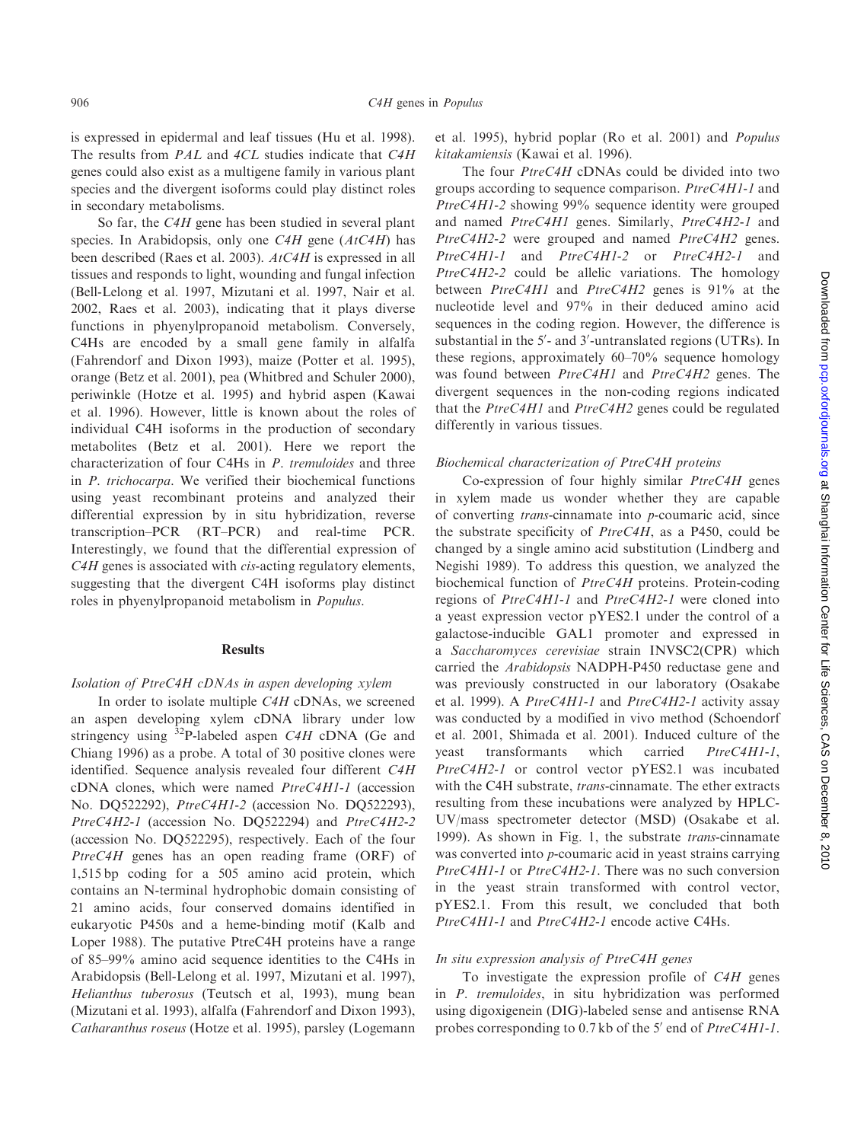is expressed in epidermal and leaf tissues (Hu et al. 1998). The results from PAL and 4CL studies indicate that C4H genes could also exist as a multigene family in various plant species and the divergent isoforms could play distinct roles in secondary metabolisms.

So far, the C4H gene has been studied in several plant species. In Arabidopsis, only one  $C4H$  gene  $(AtC4H)$  has been described (Raes et al. 2003). AtC4H is expressed in all tissues and responds to light, wounding and fungal infection (Bell-Lelong et al. 1997, Mizutani et al. 1997, Nair et al. 2002, Raes et al. 2003), indicating that it plays diverse functions in phyenylpropanoid metabolism. Conversely, C4Hs are encoded by a small gene family in alfalfa (Fahrendorf and Dixon 1993), maize (Potter et al. 1995), orange (Betz et al. 2001), pea (Whitbred and Schuler 2000), periwinkle (Hotze et al. 1995) and hybrid aspen (Kawai et al. 1996). However, little is known about the roles of individual C4H isoforms in the production of secondary metabolites (Betz et al. 2001). Here we report the characterization of four C4Hs in P. tremuloides and three in P. trichocarpa. We verified their biochemical functions using yeast recombinant proteins and analyzed their differential expression by in situ hybridization, reverse transcription–PCR (RT–PCR) and real-time PCR. Interestingly, we found that the differential expression of C4H genes is associated with *cis*-acting regulatory elements, suggesting that the divergent C4H isoforms play distinct roles in phyenylpropanoid metabolism in Populus.

## Results

#### Isolation of PtreC4H cDNAs in aspen developing xylem

In order to isolate multiple C4H cDNAs, we screened an aspen developing xylem cDNA library under low stringency using  $32P$ -labeled aspen C4H cDNA (Ge and Chiang 1996) as a probe. A total of 30 positive clones were identified. Sequence analysis revealed four different C4H cDNA clones, which were named PtreC4H1-1 (accession No. DQ522292), PtreC4H1-2 (accession No. DQ522293), PtreC4H2-1 (accession No. DQ522294) and PtreC4H2-2 (accession No. DQ522295), respectively. Each of the four PtreC4H genes has an open reading frame (ORF) of 1,515 bp coding for a 505 amino acid protein, which contains an N-terminal hydrophobic domain consisting of 21 amino acids, four conserved domains identified in eukaryotic P450s and a heme-binding motif (Kalb and Loper 1988). The putative PtreC4H proteins have a range of 85–99% amino acid sequence identities to the C4Hs in Arabidopsis (Bell-Lelong et al. 1997, Mizutani et al. 1997), Helianthus tuberosus (Teutsch et al, 1993), mung bean (Mizutani et al. 1993), alfalfa (Fahrendorf and Dixon 1993), Catharanthus roseus (Hotze et al. 1995), parsley (Logemann et al. 1995), hybrid poplar (Ro et al. 2001) and Populus kitakamiensis (Kawai et al. 1996).

The four PtreC4H cDNAs could be divided into two groups according to sequence comparison. PtreC4H1-1 and PtreC4H1-2 showing 99% sequence identity were grouped and named PtreC4H1 genes. Similarly, PtreC4H2-1 and PtreC4H2-2 were grouped and named PtreC4H2 genes. PtreC4H1-1 and PtreC4H1-2 or PtreC4H2-1 and PtreC4H2-2 could be allelic variations. The homology between PtreC4H1 and PtreC4H2 genes is 91% at the nucleotide level and 97% in their deduced amino acid sequences in the coding region. However, the difference is substantial in the 5'- and 3'-untranslated regions (UTRs). In these regions, approximately 60–70% sequence homology was found between PtreC4H1 and PtreC4H2 genes. The divergent sequences in the non-coding regions indicated that the PtreC4H1 and PtreC4H2 genes could be regulated differently in various tissues.

#### Biochemical characterization of PtreC4H proteins

Co-expression of four highly similar  $PtreC4H$  genes in xylem made us wonder whether they are capable of converting trans-cinnamate into p-coumaric acid, since the substrate specificity of  $PtreC4H$ , as a P450, could be changed by a single amino acid substitution (Lindberg and Negishi 1989). To address this question, we analyzed the biochemical function of *PtreC4H* proteins. Protein-coding regions of PtreC4H1-1 and PtreC4H2-1 were cloned into a yeast expression vector pYES2.1 under the control of a galactose-inducible GAL1 promoter and expressed in a Saccharomyces cerevisiae strain INVSC2(CPR) which carried the Arabidopsis NADPH-P450 reductase gene and was previously constructed in our laboratory (Osakabe et al. 1999). A PtreC4H1-1 and PtreC4H2-1 activity assay was conducted by a modified in vivo method (Schoendorf et al. 2001, Shimada et al. 2001). Induced culture of the yeast transformants which carried PtreC4H1-1, PtreC4H2-1 or control vector pYES2.1 was incubated with the C4H substrate, *trans*-cinnamate. The ether extracts resulting from these incubations were analyzed by HPLC-UV/mass spectrometer detector (MSD) (Osakabe et al. 1999). As shown in Fig. 1, the substrate *trans-cinnamate* was converted into p-coumaric acid in yeast strains carrying PtreC4H1-1 or PtreC4H2-1. There was no such conversion in the yeast strain transformed with control vector, pYES2.1. From this result, we concluded that both PtreC4H1-1 and PtreC4H2-1 encode active C4Hs.

#### In situ expression analysis of PtreC4H genes

To investigate the expression profile of C4H genes in P. tremuloides, in situ hybridization was performed using digoxigenein (DIG)-labeled sense and antisense RNA probes corresponding to 0.7 kb of the 5' end of PtreC4H1-1.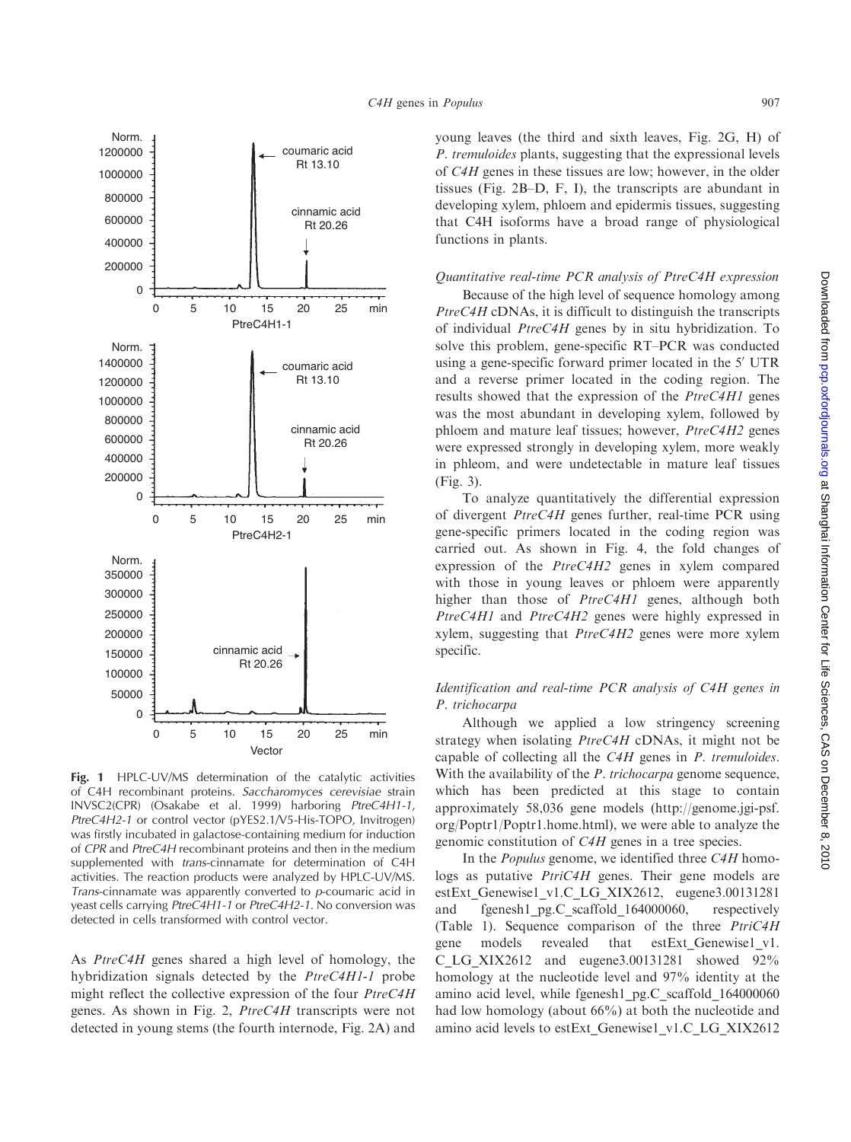

Fig. 1 HPLC-UV/MS determination of the catalytic activities of C4H recombinant proteins. Saccharomyces cerevisiae strain INVSC2(CPR) (Osakabe et al. 1999) harboring PtreC4H1-1, PtreC4H2-1 or control vector (pYES2.1/V5-His-TOPO, Invitrogen) was firstly incubated in galactose-containing medium for induction of CPR and PtreC4H recombinant proteins and then in the medium supplemented with trans-cinnamate for determination of C4H activities. The reaction products were analyzed by HPLC-UV/MS. Trans-cinnamate was apparently converted to  $p$ -coumaric acid in yeast cells carrying PtreC4H1-1 or PtreC4H2-1. No conversion was detected in cells transformed with control vector.

As PtreC4H genes shared a high level of homology, the hybridization signals detected by the *PtreC4H1-1* probe might reflect the collective expression of the four PtreC4H genes. As shown in Fig. 2, PtreC4H transcripts were not detected in young stems (the fourth internode, Fig. 2A) and young leaves (the third and sixth leaves, Fig. 2G, H) of P. tremuloides plants, suggesting that the expressional levels of C4H genes in these tissues are low; however, in the older tissues (Fig. 2B–D, F, I), the transcripts are abundant in developing xylem, phloem and epidermis tissues, suggesting that C4H isoforms have a broad range of physiological functions in plants.

## Quantitative real-time PCR analysis of PtreC4H expression

Because of the high level of sequence homology among PtreC4H cDNAs, it is difficult to distinguish the transcripts of individual PtreC4H genes by in situ hybridization. To solve this problem, gene-specific RT–PCR was conducted using a gene-specific forward primer located in the 5' UTR and a reverse primer located in the coding region. The results showed that the expression of the PtreC4H1 genes was the most abundant in developing xylem, followed by phloem and mature leaf tissues; however, PtreC4H2 genes were expressed strongly in developing xylem, more weakly in phleom, and were undetectable in mature leaf tissues (Fig. 3).

To analyze quantitatively the differential expression of divergent PtreC4H genes further, real-time PCR using gene-specific primers located in the coding region was carried out. As shown in Fig. 4, the fold changes of expression of the PtreC4H2 genes in xylem compared with those in young leaves or phloem were apparently higher than those of *PtreC4H1* genes, although both PtreC4H1 and PtreC4H2 genes were highly expressed in xylem, suggesting that PtreC4H2 genes were more xylem specific.

## Identification and real-time PCR analysis of C4H genes in P. trichocarpa

Although we applied a low stringency screening strategy when isolating PtreC4H cDNAs, it might not be capable of collecting all the C4H genes in P. tremuloides. With the availability of the *P. trichocarpa* genome sequence, which has been predicted at this stage to contain approximately 58,036 gene models ([http://genome.jgi-psf.](http://genome.jgi-psf) org/Poptr1/Poptr1.home.html), we were able to analyze the genomic constitution of C4H genes in a tree species.

In the Populus genome, we identified three C4H homologs as putative *PtriC4H* genes. Their gene models are estExt Genewise1 v1.C LG XIX2612, eugene3.00131281 and fgenesh1 pg.C scaffold 164000060, respectively (Table 1). Sequence comparison of the three PtriC4H gene models revealed that estExt\_Genewise1\_v1. C\_LG\_XIX2612 and eugene3.00131281 showed 92% homology at the nucleotide level and 97% identity at the amino acid level, while fgenesh1\_pg.C\_scaffold\_164000060 had low homology (about 66%) at both the nucleotide and amino acid levels to estExt\_Genewise1\_v1.C\_LG\_XIX2612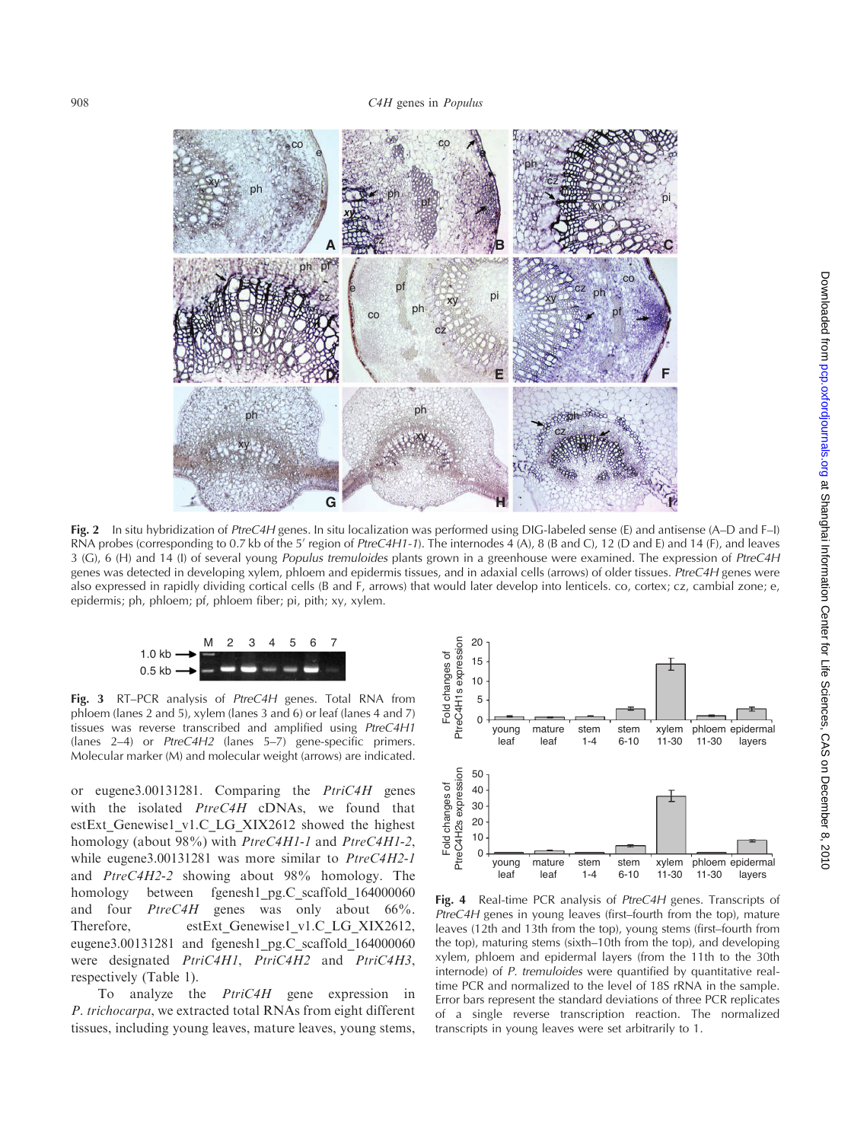

Fig. 2 In situ hybridization of PtreC4H genes. In situ localization was performed using DIG-labeled sense (E) and antisense (A–D and F–I) RNA probes (corresponding to 0.7 kb of the 5' region of PtreC4H1-1). The internodes 4 (A), 8 (B and C), 12 (D and E) and 14 (F), and leaves 3 (G), 6 (H) and 14 (I) of several young *Populus tremuloides* plants grown in a greenhouse were examined. The expression of PtreC4H genes was detected in developing xylem, phloem and epidermis tissues, and in adaxial cells (arrows) of older tissues. PtreC4H genes were also expressed in rapidly dividing cortical cells (B and F, arrows) that would later develop into lenticels. co, cortex; cz, cambial zone; e, epidermis; ph, phloem; pf, phloem fiber; pi, pith; xy, xylem.



Fig. 3 RT–PCR analysis of PtreC4H genes. Total RNA from phloem (lanes 2 and 5), xylem (lanes 3 and 6) or leaf (lanes 4 and 7) tissues was reverse transcribed and amplified using PtreC4H1 (lanes 2–4) or PtreC4H2 (lanes 5–7) gene-specific primers. Molecular marker (M) and molecular weight (arrows) are indicated.

or eugene3.00131281. Comparing the PtriC4H genes with the isolated  $PtreC4H$  cDNAs, we found that estExt Genewise1\_v1.C\_LG\_XIX2612 showed the highest homology (about 98%) with PtreC4H1-1 and PtreC4H1-2, while eugene3.00131281 was more similar to PtreC4H2-1 and PtreC4H2-2 showing about 98% homology. The homology between fgenesh1 pg.C scaffold 164000060 and four  $PtreC4H$  genes was only about 66%. Therefore, estExt\_Genewise1\_v1.C\_LG\_XIX2612, eugene3.00131281 and fgenesh1\_pg.C\_scaffold\_164000060 were designated PtriC4H1, PtriC4H2 and PtriC4H3, respectively (Table 1).

To analyze the PtriC4H gene expression in P. trichocarpa, we extracted total RNAs from eight different tissues, including young leaves, mature leaves, young stems,



Fig. 4 Real-time PCR analysis of PtreC4H genes. Transcripts of PtreC4H genes in young leaves (first–fourth from the top), mature leaves (12th and 13th from the top), young stems (first–fourth from the top), maturing stems (sixth–10th from the top), and developing xylem, phloem and epidermal layers (from the 11th to the 30th internode) of P. tremuloides were quantified by quantitative realtime PCR and normalized to the level of 18S rRNA in the sample. Error bars represent the standard deviations of three PCR replicates of a single reverse transcription reaction. The normalized transcripts in young leaves were set arbitrarily to 1.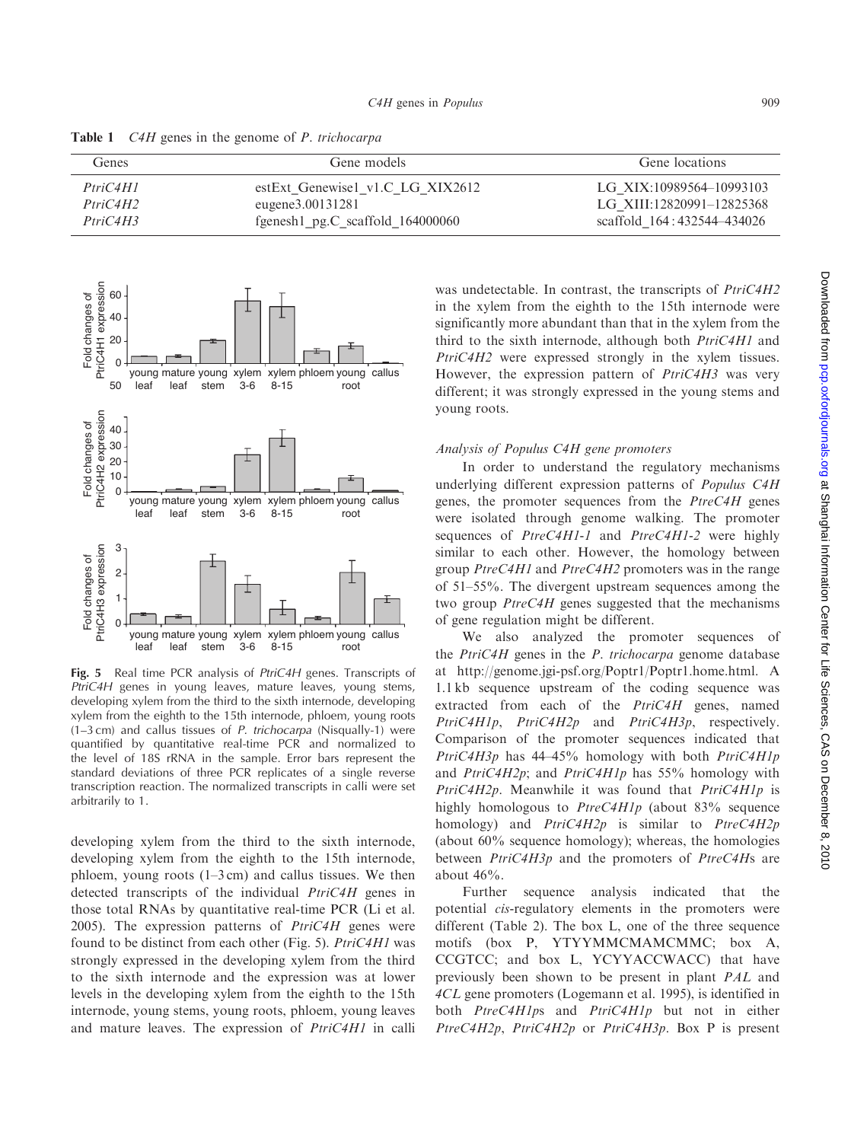| Genes    | Gene models                          | Gene locations             |  |  |
|----------|--------------------------------------|----------------------------|--|--|
| PtriC4H1 | estExt Genewise1 v1.C LG XIX2612     | LG XIX:10989564-10993103   |  |  |
| PtriC4H2 | eugene3.00131281                     | LG XIII:12820991-12825368  |  |  |
| PtriC4H3 | fgenesh $1$ _pg.C_scaffold_164000060 | scaffold 164:432544-434026 |  |  |

Table 1 *C4H* genes in the genome of *P. trichocarpa* 



Fig. 5 Real time PCR analysis of PtriC4H genes. Transcripts of PtriC4H genes in young leaves, mature leaves, young stems, developing xylem from the third to the sixth internode, developing xylem from the eighth to the 15th internode, phloem, young roots (1–3 cm) and callus tissues of P. trichocarpa (Nisqually-1) were quantified by quantitative real-time PCR and normalized to the level of 18S rRNA in the sample. Error bars represent the standard deviations of three PCR replicates of a single reverse transcription reaction. The normalized transcripts in calli were set arbitrarily to 1.

developing xylem from the third to the sixth internode, developing xylem from the eighth to the 15th internode, phloem, young roots  $(1-3 \text{ cm})$  and callus tissues. We then detected transcripts of the individual PtriC4H genes in those total RNAs by quantitative real-time PCR (Li et al. 2005). The expression patterns of  $PtriC4H$  genes were found to be distinct from each other (Fig. 5).  $PtriC4H1$  was strongly expressed in the developing xylem from the third to the sixth internode and the expression was at lower levels in the developing xylem from the eighth to the 15th internode, young stems, young roots, phloem, young leaves and mature leaves. The expression of PtriC4H1 in calli

was undetectable. In contrast, the transcripts of  $PtriC4H2$ in the xylem from the eighth to the 15th internode were significantly more abundant than that in the xylem from the third to the sixth internode, although both PtriC4H1 and PtriC4H2 were expressed strongly in the xylem tissues. However, the expression pattern of PtriC4H3 was very different; it was strongly expressed in the young stems and young roots.

## Analysis of Populus C4H gene promoters

In order to understand the regulatory mechanisms underlying different expression patterns of Populus C4H genes, the promoter sequences from the PtreC4H genes were isolated through genome walking. The promoter sequences of PtreC4H1-1 and PtreC4H1-2 were highly similar to each other. However, the homology between group PtreC4H1 and PtreC4H2 promoters was in the range of 51–55%. The divergent upstream sequences among the two group  $P$ treC4H genes suggested that the mechanisms of gene regulation might be different.

We also analyzed the promoter sequences of the PtriC4H genes in the P. trichocarpa genome database at [http://genome.jgi-psf.org/Poptr1/Poptr1.home.html.](http://genome.jgi-psf.org/Poptr1/Poptr1.home.html) A 1.1 kb sequence upstream of the coding sequence was extracted from each of the PtriC4H genes, named PtriC4H1p, PtriC4H2p and PtriC4H3p, respectively. Comparison of the promoter sequences indicated that PtriC4H3p has 44-45% homology with both PtriC4H1p and  $PtriC4H2p$ ; and  $PtriC4H1p$  has 55% homology with PtriC4H2p. Meanwhile it was found that PtriC4H1p is highly homologous to *PtreC4H1p* (about 83% sequence homology) and *PtriC4H2p* is similar to *PtreC4H2p* (about 60% sequence homology); whereas, the homologies between PtriC4H3p and the promoters of PtreC4Hs are about 46%.

Further sequence analysis indicated that the potential cis-regulatory elements in the promoters were different (Table 2). The box L, one of the three sequence motifs (box P, YTYYMMCMAMCMMC; box A, CCGTCC; and box L, YCYYACCWACC) that have previously been shown to be present in plant PAL and 4CL gene promoters (Logemann et al. 1995), is identified in both PtreC4H1ps and PtriC4H1p but not in either PtreC4H2p, PtriC4H2p or PtriC4H3p. Box P is present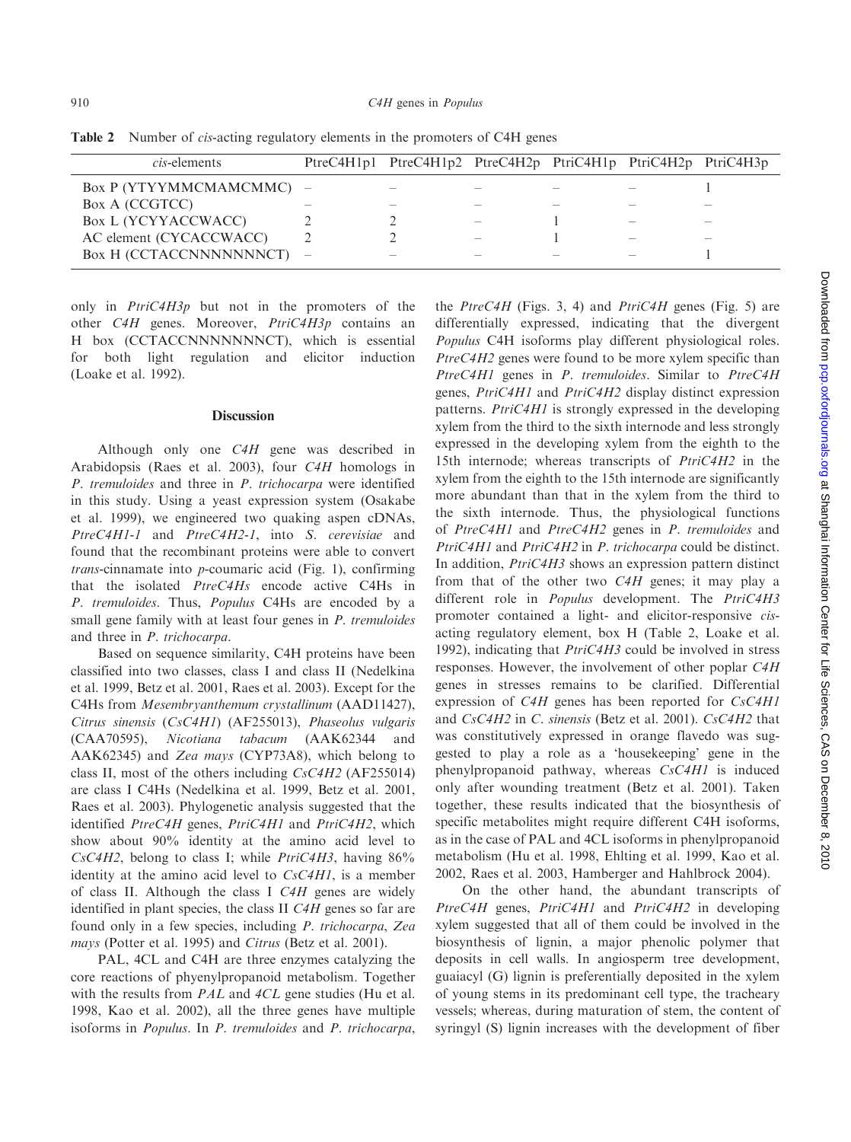| <i>cis</i> -elements     |                          | PtreC4H1p1 PtreC4H1p2 PtreC4H2p PtriC4H1p PtriC4H2p PtriC4H3p |  |  |
|--------------------------|--------------------------|---------------------------------------------------------------|--|--|
| Box P (YTYYMMCMAMCMMC) – |                          |                                                               |  |  |
| Box A (CCGTCC)           |                          |                                                               |  |  |
| Box L (YCYYACCWACC)      |                          |                                                               |  |  |
| AC element (CYCACCWACC)  |                          |                                                               |  |  |
| Box H (CCTACCNNNNNNNCT)  | $\overline{\phantom{a}}$ |                                                               |  |  |

Table 2 Number of *cis*-acting regulatory elements in the promoters of C4H genes

only in *PtriC4H3p* but not in the promoters of the other C4H genes. Moreover, PtriC4H3p contains an H box (CCTACCNNNNNNNCT), which is essential for both light regulation and elicitor induction (Loake et al. 1992).

## Discussion

Although only one C4H gene was described in Arabidopsis (Raes et al. 2003), four C4H homologs in P. tremuloides and three in P. trichocarpa were identified in this study. Using a yeast expression system (Osakabe et al. 1999), we engineered two quaking aspen cDNAs, PtreC4H1-1 and PtreC4H2-1, into S. cerevisiae and found that the recombinant proteins were able to convert trans-cinnamate into p-coumaric acid (Fig. 1), confirming that the isolated PtreC4Hs encode active C4Hs in P. tremuloides. Thus, Populus C4Hs are encoded by a small gene family with at least four genes in *P. tremuloides* and three in P. trichocarpa.

Based on sequence similarity, C4H proteins have been classified into two classes, class I and class II (Nedelkina et al. 1999, Betz et al. 2001, Raes et al. 2003). Except for the C4Hs from Mesembryanthemum crystallinum (AAD11427), Citrus sinensis (CsC4H1) (AF255013), Phaseolus vulgaris (CAA70595), Nicotiana tabacum (AAK62344 and AAK62345) and Zea mays (CYP73A8), which belong to class II, most of the others including CsC4H2 (AF255014) are class I C4Hs (Nedelkina et al. 1999, Betz et al. 2001, Raes et al. 2003). Phylogenetic analysis suggested that the identified PtreC4H genes, PtriC4H1 and PtriC4H2, which show about 90% identity at the amino acid level to  $CsC4H2$ , belong to class I; while  $PtriC4H3$ , having 86% identity at the amino acid level to  $CsC4H1$ , is a member of class II. Although the class I C4H genes are widely identified in plant species, the class II C4H genes so far are found only in a few species, including P. trichocarpa, Zea mays (Potter et al. 1995) and Citrus (Betz et al. 2001).

PAL, 4CL and C4H are three enzymes catalyzing the core reactions of phyenylpropanoid metabolism. Together with the results from *PAL* and 4CL gene studies (Hu et al. 1998, Kao et al. 2002), all the three genes have multiple isoforms in Populus. In P. tremuloides and P. trichocarpa,

the  $PtreC4H$  (Figs. 3, 4) and  $PtriC4H$  genes (Fig. 5) are differentially expressed, indicating that the divergent Populus C4H isoforms play different physiological roles. PtreC4H2 genes were found to be more xylem specific than PtreC4H1 genes in P. tremuloides. Similar to PtreC4H genes, PtriC4H1 and PtriC4H2 display distinct expression patterns. PtriC4H1 is strongly expressed in the developing xylem from the third to the sixth internode and less strongly expressed in the developing xylem from the eighth to the 15th internode; whereas transcripts of PtriC4H2 in the xylem from the eighth to the 15th internode are significantly more abundant than that in the xylem from the third to the sixth internode. Thus, the physiological functions of PtreC4H1 and PtreC4H2 genes in P. tremuloides and PtriC4H1 and PtriC4H2 in P. trichocarpa could be distinct. In addition, PtriC4H3 shows an expression pattern distinct from that of the other two C4H genes; it may play a different role in *Populus* development. The *PtriC4H3* promoter contained a light- and elicitor-responsive cisacting regulatory element, box H (Table 2, Loake et al. 1992), indicating that *PtriC4H3* could be involved in stress responses. However, the involvement of other poplar C4H genes in stresses remains to be clarified. Differential expression of C4H genes has been reported for CsC4H1 and CsC4H2 in C. sinensis (Betz et al. 2001). CsC4H2 that was constitutively expressed in orange flavedo was suggested to play a role as a 'housekeeping' gene in the phenylpropanoid pathway, whereas CsC4H1 is induced only after wounding treatment (Betz et al. 2001). Taken together, these results indicated that the biosynthesis of specific metabolites might require different C4H isoforms, as in the case of PAL and 4CL isoforms in phenylpropanoid metabolism (Hu et al. 1998, Ehlting et al. 1999, Kao et al. 2002, Raes et al. 2003, Hamberger and Hahlbrock 2004).

On the other hand, the abundant transcripts of PtreC4H genes, PtriC4H1 and PtriC4H2 in developing xylem suggested that all of them could be involved in the biosynthesis of lignin, a major phenolic polymer that deposits in cell walls. In angiosperm tree development, guaiacyl (G) lignin is preferentially deposited in the xylem of young stems in its predominant cell type, the tracheary vessels; whereas, during maturation of stem, the content of syringyl (S) lignin increases with the development of fiber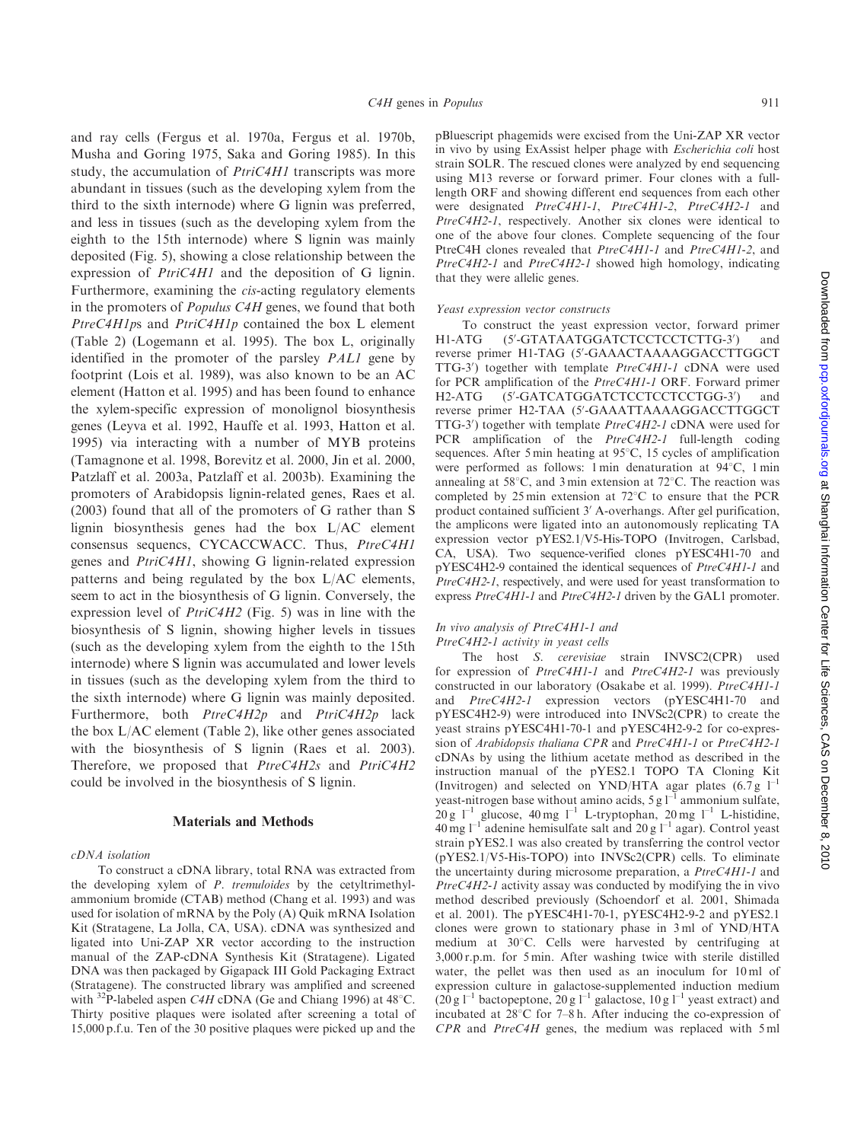and ray cells (Fergus et al. 1970a, Fergus et al. 1970b, Musha and Goring 1975, Saka and Goring 1985). In this study, the accumulation of *PtriC4H1* transcripts was more abundant in tissues (such as the developing xylem from the third to the sixth internode) where G lignin was preferred, and less in tissues (such as the developing xylem from the eighth to the 15th internode) where S lignin was mainly deposited (Fig. 5), showing a close relationship between the expression of *PtriC4H1* and the deposition of G lignin. Furthermore, examining the cis-acting regulatory elements in the promoters of Populus C4H genes, we found that both PtreC4H1ps and PtriC4H1p contained the box L element (Table 2) (Logemann et al. 1995). The box L, originally identified in the promoter of the parsley PAL1 gene by footprint (Lois et al. 1989), was also known to be an AC element (Hatton et al. 1995) and has been found to enhance the xylem-specific expression of monolignol biosynthesis genes (Leyva et al. 1992, Hauffe et al. 1993, Hatton et al. 1995) via interacting with a number of MYB proteins (Tamagnone et al. 1998, Borevitz et al. 2000, Jin et al. 2000, Patzlaff et al. 2003a, Patzlaff et al. 2003b). Examining the promoters of Arabidopsis lignin-related genes, Raes et al. (2003) found that all of the promoters of G rather than S lignin biosynthesis genes had the box L/AC element consensus sequencs, CYCACCWACC. Thus, PtreC4H1 genes and PtriC4H1, showing G lignin-related expression patterns and being regulated by the box L/AC elements, seem to act in the biosynthesis of G lignin. Conversely, the expression level of  $PtriC4H2$  (Fig. 5) was in line with the biosynthesis of S lignin, showing higher levels in tissues (such as the developing xylem from the eighth to the 15th internode) where S lignin was accumulated and lower levels in tissues (such as the developing xylem from the third to the sixth internode) where G lignin was mainly deposited. Furthermore, both PtreC4H2p and PtriC4H2p lack the box L/AC element (Table 2), like other genes associated with the biosynthesis of S lignin (Raes et al. 2003). Therefore, we proposed that  $PtreC4H2s$  and  $PtriC4H2$ could be involved in the biosynthesis of S lignin.

#### Materials and Methods

#### cDNA isolation

To construct a cDNA library, total RNA was extracted from the developing xylem of P. tremuloides by the cetyltrimethylammonium bromide (CTAB) method (Chang et al. 1993) and was used for isolation of mRNA by the Poly (A) Quik mRNA Isolation Kit (Stratagene, La Jolla, CA, USA). cDNA was synthesized and ligated into Uni-ZAP XR vector according to the instruction manual of the ZAP-cDNA Synthesis Kit (Stratagene). Ligated DNA was then packaged by Gigapack III Gold Packaging Extract (Stratagene). The constructed library was amplified and screened with <sup>32</sup>P-labeled aspen *C4H* cDNA (Ge and Chiang 1996) at 48<sup>°</sup>C. Thirty positive plaques were isolated after screening a total of 15,000 p.f.u. Ten of the 30 positive plaques were picked up and the

pBluescript phagemids were excised from the Uni-ZAP XR vector in vivo by using ExAssist helper phage with Escherichia coli host strain SOLR. The rescued clones were analyzed by end sequencing using M13 reverse or forward primer. Four clones with a fulllength ORF and showing different end sequences from each other were designated PtreC4H1-1, PtreC4H1-2, PtreC4H2-1 and PtreC4H2-1, respectively. Another six clones were identical to one of the above four clones. Complete sequencing of the four PtreC4H clones revealed that PtreC4H1-1 and PtreC4H1-2, and PtreC4H2-1 and PtreC4H2-1 showed high homology, indicating that they were allelic genes.

#### Yeast expression vector constructs

To construct the yeast expression vector, forward primer  $H1-ATG$ -GTATAATGGATCTCCTCCTCTTG-3<sup>0</sup> ) and reverse primer H1-TAG (5'-GAAACTAAAAGGACCTTGGCT TTG-3') together with template PtreC4H1-1 cDNA were used for PCR amplification of the PtreC4H1-1 ORF. Forward primer  $H2-ATG$ -GATCATGGATCTCCTCCTCCTGG-3<sup>0</sup> ) and reverse primer H2-TAA (5'-GAAATTAAAAGGACCTTGGCT TTG-3') together with template PtreC4H2-1 cDNA were used for PCR amplification of the PtreC4H2-1 full-length coding sequences. After 5 min heating at  $95^{\circ}$ C, 15 cycles of amplification were performed as follows: 1 min denaturation at 94°C, 1 min annealing at  $58^{\circ}$ C, and 3 min extension at  $72^{\circ}$ C. The reaction was completed by 25 min extension at  $72^{\circ}$ C to ensure that the PCR product contained sufficient 3' A-overhangs. After gel purification, the amplicons were ligated into an autonomously replicating TA expression vector pYES2.1/V5-His-TOPO (Invitrogen, Carlsbad, CA, USA). Two sequence-verified clones pYESC4H1-70 and pYESC4H2-9 contained the identical sequences of PtreC4H1-1 and PtreC4H2-1, respectively, and were used for yeast transformation to express PtreC4H1-1 and PtreC4H2-1 driven by the GAL1 promoter.

#### In vivo analysis of PtreC4H1-1 and PtreC4H2-1 activity in yeast cells

The host S. cerevisiae strain INVSC2(CPR) used for expression of PtreC4H1-1 and PtreC4H2-1 was previously constructed in our laboratory (Osakabe et al. 1999). PtreC4H1-1 and PtreC4H2-1 expression vectors (pYESC4H1-70 and pYESC4H2-9) were introduced into INVSc2(CPR) to create the yeast strains pYESC4H1-70-1 and pYESC4H2-9-2 for co-expression of Arabidopsis thaliana CPR and PtreC4H1-1 or PtreC4H2-1 cDNAs by using the lithium acetate method as described in the instruction manual of the pYES2.1 TOPO TA Cloning Kit (Invitrogen) and selected on YND/HTA agar plates  $(6.7 g<sup>-1</sup>)$ yeast-nitrogen base without amino acids,  $5 \text{ g} 1^{-1}$  ammonium sulfate, 20 g  $1^{-1}$  glucose, 40 mg  $1^{-1}$  L-tryptophan, 20 mg  $1^{-1}$  L-histidine,  $40 \text{ mg } l^{-1}$  adenine hemisulfate salt and  $20 \text{ g } l^{-1}$  agar). Control yeast strain pYES2.1 was also created by transferring the control vector (pYES2.1/V5-His-TOPO) into INVSc2(CPR) cells. To eliminate the uncertainty during microsome preparation, a PtreC4H1-1 and PtreC4H2-1 activity assay was conducted by modifying the in vivo method described previously (Schoendorf et al. 2001, Shimada et al. 2001). The pYESC4H1-70-1, pYESC4H2-9-2 and pYES2.1 clones were grown to stationary phase in 3 ml of YND/HTA medium at 30°C. Cells were harvested by centrifuging at 3,000 r.p.m. for 5 min. After washing twice with sterile distilled water, the pellet was then used as an inoculum for 10 ml of expression culture in galactose-supplemented induction medium  $(20 \text{ g } l^{-1}$  bactopeptone,  $20 \text{ g } l^{-1}$  galactose,  $10 \text{ g } l^{-1}$  yeast extract) and incubated at  $28^{\circ}$ C for 7–8 h. After inducing the co-expression of CPR and PtreC4H genes, the medium was replaced with 5 ml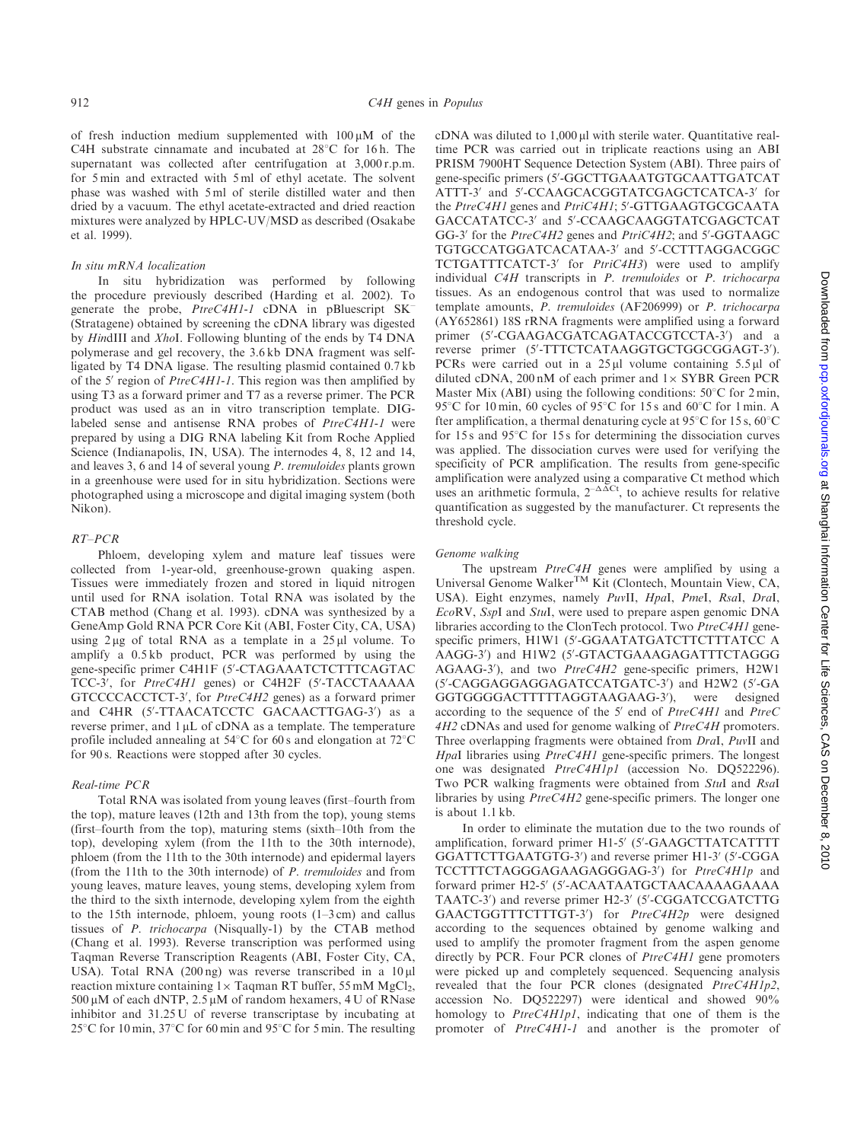of fresh induction medium supplemented with  $100 \mu M$  of the C4H substrate cinnamate and incubated at  $28^{\circ}$ C for 16h. The supernatant was collected after centrifugation at 3,000 r.p.m. for 5 min and extracted with 5 ml of ethyl acetate. The solvent phase was washed with 5 ml of sterile distilled water and then dried by a vacuum. The ethyl acetate-extracted and dried reaction mixtures were analyzed by HPLC-UV/MSD as described (Osakabe et al. 1999).

#### In situ mRNA localization

In situ hybridization was performed by following the procedure previously described (Harding et al. 2002). To generate the probe, PtreC4H1-1 cDNA in pBluescript SK– (Stratagene) obtained by screening the cDNA library was digested by HindIII and XhoI. Following blunting of the ends by T4 DNA polymerase and gel recovery, the 3.6 kb DNA fragment was selfligated by T4 DNA ligase. The resulting plasmid contained 0.7 kb of the 5' region of  $PriceCH1-1$ . This region was then amplified by using T3 as a forward primer and T7 as a reverse primer. The PCR product was used as an in vitro transcription template. DIGlabeled sense and antisense RNA probes of PtreC4H1-1 were prepared by using a DIG RNA labeling Kit from Roche Applied Science (Indianapolis, IN, USA). The internodes 4, 8, 12 and 14, and leaves 3, 6 and 14 of several young P. tremuloides plants grown in a greenhouse were used for in situ hybridization. Sections were photographed using a microscope and digital imaging system (both Nikon).

#### RT–PCR

Phloem, developing xylem and mature leaf tissues were collected from 1-year-old, greenhouse-grown quaking aspen. Tissues were immediately frozen and stored in liquid nitrogen until used for RNA isolation. Total RNA was isolated by the CTAB method (Chang et al. 1993). cDNA was synthesized by a GeneAmp Gold RNA PCR Core Kit (ABI, Foster City, CA, USA) using  $2 \mu$ g of total RNA as a template in a  $25 \mu$ l volume. To amplify a 0.5 kb product, PCR was performed by using the gene-specific primer C4H1F (5'-CTAGAAATCTCTTTCAGTAC TCC-3', for PtreC4H1 genes) or C4H2F (5'-TACCTAAAAA GTCCCCACCTCT-3', for PtreC4H2 genes) as a forward primer and C4HR (5'-TTAACATCCTC GACAACTTGAG-3') as a reverse primer, and  $1 \mu$ L of cDNA as a template. The temperature profile included annealing at  $54^{\circ}$ C for 60 s and elongation at  $72^{\circ}$ C for 90 s. Reactions were stopped after 30 cycles.

#### Real-time PCR

Total RNA was isolated from young leaves (first–fourth from the top), mature leaves (12th and 13th from the top), young stems (first–fourth from the top), maturing stems (sixth–10th from the top), developing xylem (from the 11th to the 30th internode), phloem (from the 11th to the 30th internode) and epidermal layers (from the 11th to the 30th internode) of P. tremuloides and from young leaves, mature leaves, young stems, developing xylem from the third to the sixth internode, developing xylem from the eighth to the 15th internode, phloem, young roots  $(1-3 \text{ cm})$  and callus tissues of P. trichocarpa (Nisqually-1) by the CTAB method (Chang et al. 1993). Reverse transcription was performed using Taqman Reverse Transcription Reagents (ABI, Foster City, CA, USA). Total RNA (200 ng) was reverse transcribed in a 10 µl reaction mixture containing  $1 \times$  Taqman RT buffer, 55 mM MgCl<sub>2</sub>,  $500 \mu$ M of each dNTP,  $2.5 \mu$ M of random hexamers, 4 U of RNase inhibitor and 31.25 U of reverse transcriptase by incubating at 25°C for 10 min, 37°C for 60 min and 95°C for 5 min. The resulting cDNA was diluted to  $1,000 \,\mu$ l with sterile water. Quantitative realtime PCR was carried out in triplicate reactions using an ABI PRISM 7900HT Sequence Detection System (ABI). Three pairs of gene-specific primers (5'-GGCTTGAAATGTGCAATTGATCAT ATTT-3' and 5'-CCAAGCACGGTATCGAGCTCATCA-3' for the PtreC4H1 genes and PtriC4H1; 5'-GTTGAAGTGCGCAATA GACCATATCC-3' and 5'-CCAAGCAAGGTATCGAGCTCAT GG-3' for the PtreC4H2 genes and PtriC4H2; and 5'-GGTAAGC TGTGCCATGGATCACATAA-3' and 5'-CCTTTAGGACGGC TCTGATTTCATCT-3' for PtriC4H3) were used to amplify individual C4H transcripts in P. tremuloides or P. trichocarpa tissues. As an endogenous control that was used to normalize template amounts, P. tremuloides (AF206999) or P. trichocarpa (AY652861) 18S rRNA fragments were amplified using a forward primer (5'-CGAAGACGATCAGATACCGTCCTA-3') and a reverse primer (5'-TTTCTCATAAGGTGCTGGCGGAGT-3'). PCRs were carried out in a  $25 \mu l$  volume containing  $5.5 \mu l$  of diluted cDNA,  $200 \text{ nM}$  of each primer and  $1 \times \text{SYBR}$  Green PCR Master Mix (ABI) using the following conditions:  $50^{\circ}$ C for 2 min, 95°C for 10 min, 60 cycles of 95°C for 15 s and 60°C for 1 min. A fter amplification, a thermal denaturing cycle at  $95^{\circ}$ C for 15 s,  $60^{\circ}$ C for  $15s$  and  $95^\circ$ C for  $15s$  for determining the dissociation curves was applied. The dissociation curves were used for verifying the specificity of PCR amplification. The results from gene-specific amplification were analyzed using a comparative Ct method which uses an arithmetic formula,  $2^{-\Delta \Delta Ct}$ , to achieve results for relative quantification as suggested by the manufacturer. Ct represents the threshold cycle.

#### Genome walking

The upstream *PtreC4H* genes were amplified by using a Universal Genome WalkerTM Kit (Clontech, Mountain View, CA, USA). Eight enzymes, namely PuvII, HpaI, PmeI, RsaI, DraI, EcoRV, SspI and StuI, were used to prepare aspen genomic DNA libraries according to the ClonTech protocol. Two PtreC4H1 genespecific primers, H1W1 (5'-GGAATATGATCTTCTTTATCC A AAGG-3') and H1W2 (5'-GTACTGAAAGAGATTTCTAGGG AGAAG-3'), and two PtreC4H2 gene-specific primers, H2W1 (5'-CAGGAGGAGGAGATCCATGATC-3') and H2W2 (5'-GA GGTGGGGACTTTTTAGGTAAGAAG-3'), were designed according to the sequence of the  $5'$  end of  $PtreC4H1$  and  $PtreC$ 4H2 cDNAs and used for genome walking of PtreC4H promoters. Three overlapping fragments were obtained from DraI, PuvII and HpaI libraries using PtreC4H1 gene-specific primers. The longest one was designated PtreC4H1p1 (accession No. DQ522296). Two PCR walking fragments were obtained from StuI and RsaI libraries by using PtreC4H2 gene-specific primers. The longer one is about 1.1 kb.

In order to eliminate the mutation due to the two rounds of amplification, forward primer H1-5' (5'-GAAGCTTATCATTTT GGATTCTTGAATGTG-3') and reverse primer H1-3' (5'-CGGA TCCTTTCTAGGGAGAAGAGGGAG-3') for PtreC4H1p and forward primer H2-5' (5'-ACAATAATGCTAACAAAAGAAAA TAATC-3') and reverse primer H2-3' (5'-CGGATCCGATCTTG GAACTGGTTTCTTTGT-3') for PtreC4H2p were designed according to the sequences obtained by genome walking and used to amplify the promoter fragment from the aspen genome directly by PCR. Four PCR clones of PtreC4H1 gene promoters were picked up and completely sequenced. Sequencing analysis revealed that the four PCR clones (designated PtreC4H1p2, accession No. DQ522297) were identical and showed 90% homology to PtreC4H1p1, indicating that one of them is the promoter of PtreC4H1-1 and another is the promoter of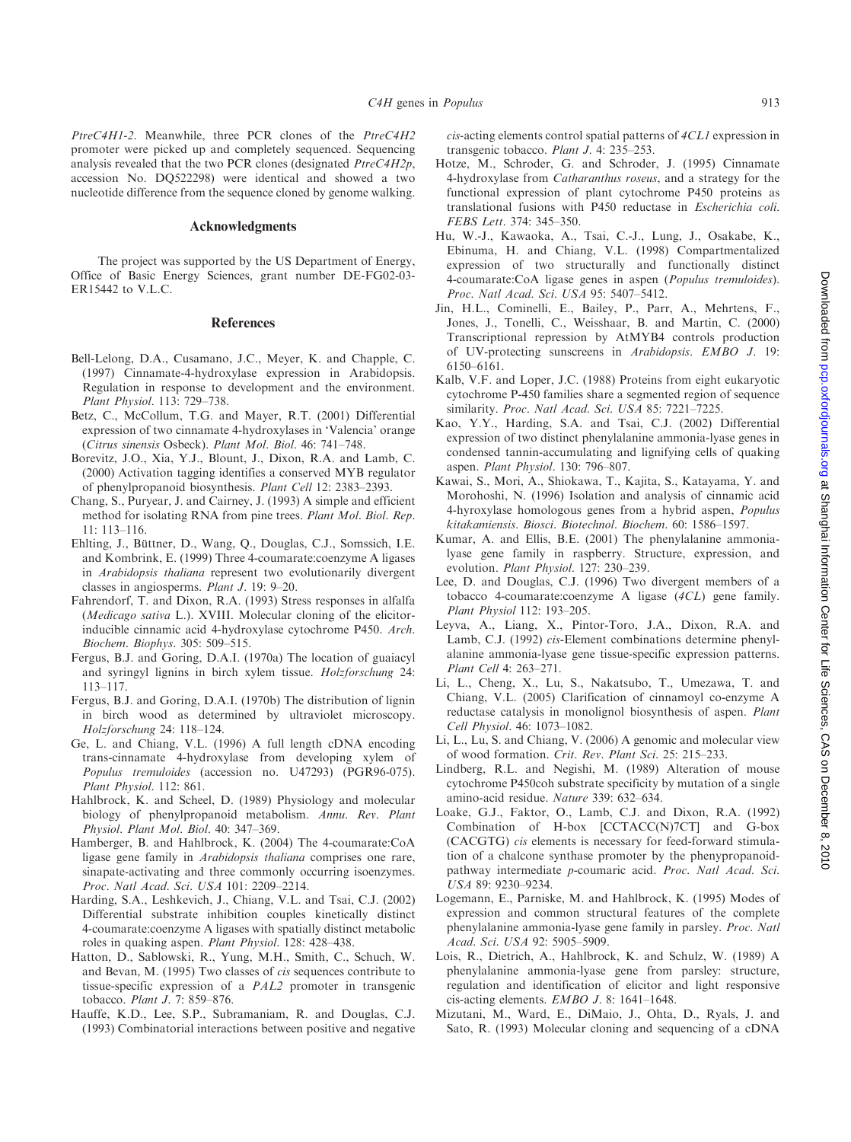PtreC4H1-2. Meanwhile, three PCR clones of the PtreC4H2 promoter were picked up and completely sequenced. Sequencing analysis revealed that the two PCR clones (designated PtreC4H2p, accession No. DQ522298) were identical and showed a two nucleotide difference from the sequence cloned by genome walking.

## Acknowledgments

The project was supported by the US Department of Energy, Office of Basic Energy Sciences, grant number DE-FG02-03- ER15442 to V.L.C.

#### References

- Bell-Lelong, D.A., Cusamano, J.C., Meyer, K. and Chapple, C. (1997) Cinnamate-4-hydroxylase expression in Arabidopsis. Regulation in response to development and the environment. Plant Physiol. 113: 729–738.
- Betz, C., McCollum, T.G. and Mayer, R.T. (2001) Differential expression of two cinnamate 4-hydroxylases in 'Valencia' orange (Citrus sinensis Osbeck). Plant Mol. Biol. 46: 741–748.
- Borevitz, J.O., Xia, Y.J., Blount, J., Dixon, R.A. and Lamb, C. (2000) Activation tagging identifies a conserved MYB regulator of phenylpropanoid biosynthesis. Plant Cell 12: 2383–2393.
- Chang, S., Puryear, J. and Cairney, J. (1993) A simple and efficient method for isolating RNA from pine trees. Plant Mol. Biol. Rep. 11: 113–116.
- Ehlting, J., Büttner, D., Wang, Q., Douglas, C.J., Somssich, I.E. and Kombrink, E. (1999) Three 4-coumarate:coenzyme A ligases in Arabidopsis thaliana represent two evolutionarily divergent classes in angiosperms. Plant J. 19: 9–20.
- Fahrendorf, T. and Dixon, R.A. (1993) Stress responses in alfalfa (Medicago sativa L.). XVIII. Molecular cloning of the elicitorinducible cinnamic acid 4-hydroxylase cytochrome P450. Arch. Biochem. Biophys. 305: 509–515.
- Fergus, B.J. and Goring, D.A.I. (1970a) The location of guaiacyl and syringyl lignins in birch xylem tissue. Holzforschung 24: 113–117.
- Fergus, B.J. and Goring, D.A.I. (1970b) The distribution of lignin in birch wood as determined by ultraviolet microscopy. Holzforschung 24: 118–124.
- Ge, L. and Chiang, V.L. (1996) A full length cDNA encoding trans-cinnamate 4-hydroxylase from developing xylem of Populus tremuloides (accession no. U47293) (PGR96-075). Plant Physiol. 112: 861.
- Hahlbrock, K. and Scheel, D. (1989) Physiology and molecular biology of phenylpropanoid metabolism. Annu. Rev. Plant Physiol. Plant Mol. Biol. 40: 347–369.
- Hamberger, B. and Hahlbrock, K. (2004) The 4-coumarate:CoA ligase gene family in Arabidopsis thaliana comprises one rare, sinapate-activating and three commonly occurring isoenzymes. Proc. Natl Acad. Sci. USA 101: 2209–2214.
- Harding, S.A., Leshkevich, J., Chiang, V.L. and Tsai, C.J. (2002) Differential substrate inhibition couples kinetically distinct 4-coumarate:coenzyme A ligases with spatially distinct metabolic roles in quaking aspen. Plant Physiol. 128: 428–438.
- Hatton, D., Sablowski, R., Yung, M.H., Smith, C., Schuch, W. and Bevan, M. (1995) Two classes of cis sequences contribute to tissue-specific expression of a PAL2 promoter in transgenic tobacco. Plant J. 7: 859–876.
- Hauffe, K.D., Lee, S.P., Subramaniam, R. and Douglas, C.J. (1993) Combinatorial interactions between positive and negative

cis-acting elements control spatial patterns of 4CL1 expression in transgenic tobacco. Plant J. 4: 235–253.

- Hotze, M., Schroder, G. and Schroder, J. (1995) Cinnamate 4-hydroxylase from Catharanthus roseus, and a strategy for the functional expression of plant cytochrome P450 proteins as translational fusions with P450 reductase in Escherichia coli. FEBS Lett. 374: 345–350.
- Hu, W.-J., Kawaoka, A., Tsai, C.-J., Lung, J., Osakabe, K., Ebinuma, H. and Chiang, V.L. (1998) Compartmentalized expression of two structurally and functionally distinct 4-coumarate:CoA ligase genes in aspen (Populus tremuloides). Proc. Natl Acad. Sci. USA 95: 5407–5412.
- Jin, H.L., Cominelli, E., Bailey, P., Parr, A., Mehrtens, F., Jones, J., Tonelli, C., Weisshaar, B. and Martin, C. (2000) Transcriptional repression by AtMYB4 controls production of UV-protecting sunscreens in Arabidopsis. EMBO J. 19: 6150–6161.
- Kalb, V.F. and Loper, J.C. (1988) Proteins from eight eukaryotic cytochrome P-450 families share a segmented region of sequence similarity. Proc. Natl Acad. Sci. USA 85: 7221-7225.
- Kao, Y.Y., Harding, S.A. and Tsai, C.J. (2002) Differential expression of two distinct phenylalanine ammonia-lyase genes in condensed tannin-accumulating and lignifying cells of quaking aspen. Plant Physiol. 130: 796–807.
- Kawai, S., Mori, A., Shiokawa, T., Kajita, S., Katayama, Y. and Morohoshi, N. (1996) Isolation and analysis of cinnamic acid 4-hyroxylase homologous genes from a hybrid aspen, Populus kitakamiensis. Biosci. Biotechnol. Biochem. 60: 1586–1597.
- Kumar, A. and Ellis, B.E. (2001) The phenylalanine ammonialyase gene family in raspberry. Structure, expression, and evolution. Plant Physiol. 127: 230–239.
- Lee, D. and Douglas, C.J. (1996) Two divergent members of a tobacco 4-coumarate:coenzyme A ligase (4CL) gene family. Plant Physiol 112: 193–205.
- Leyva, A., Liang, X., Pintor-Toro, J.A., Dixon, R.A. and Lamb, C.J. (1992) cis-Element combinations determine phenylalanine ammonia-lyase gene tissue-specific expression patterns. Plant Cell 4: 263–271.
- Li, L., Cheng, X., Lu, S., Nakatsubo, T., Umezawa, T. and Chiang, V.L. (2005) Clarification of cinnamoyl co-enzyme A reductase catalysis in monolignol biosynthesis of aspen. Plant Cell Physiol. 46: 1073–1082.
- Li, L., Lu, S. and Chiang, V. (2006) A genomic and molecular view of wood formation. Crit. Rev. Plant Sci. 25: 215–233.
- Lindberg, R.L. and Negishi, M. (1989) Alteration of mouse cytochrome P450coh substrate specificity by mutation of a single amino-acid residue. Nature 339: 632–634.
- Loake, G.J., Faktor, O., Lamb, C.J. and Dixon, R.A. (1992) Combination of H-box [CCTACC(N)7CT] and G-box (CACGTG) cis elements is necessary for feed-forward stimulation of a chalcone synthase promoter by the phenypropanoidpathway intermediate p-coumaric acid. Proc. Natl Acad. Sci. USA 89: 9230–9234.
- Logemann, E., Parniske, M. and Hahlbrock, K. (1995) Modes of expression and common structural features of the complete phenylalanine ammonia-lyase gene family in parsley. Proc. Natl Acad. Sci. USA 92: 5905–5909.
- Lois, R., Dietrich, A., Hahlbrock, K. and Schulz, W. (1989) A phenylalanine ammonia-lyase gene from parsley: structure, regulation and identification of elicitor and light responsive cis-acting elements. EMBO J. 8: 1641–1648.
- Mizutani, M., Ward, E., DiMaio, J., Ohta, D., Ryals, J. and Sato, R. (1993) Molecular cloning and sequencing of a cDNA